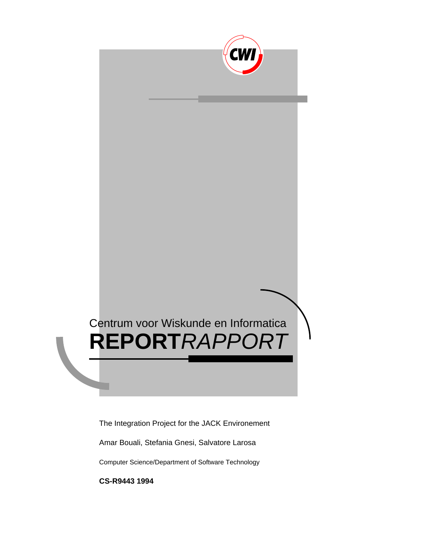

The Integration Project for the JACK Environement

Amar Bouali, Stefania Gnesi, Salvatore Larosa

Computer Science/Department of Software Technology

**CS-R9443 1994**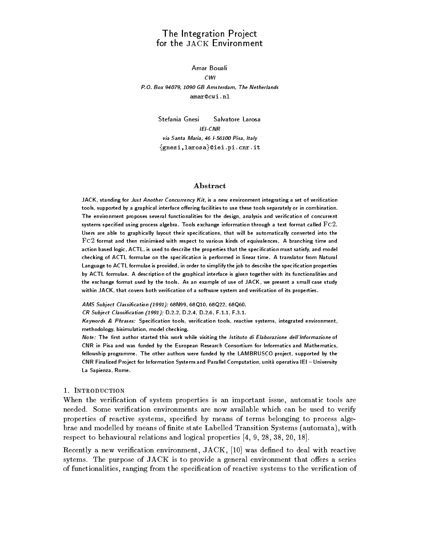### The Integration Projectfor the JACK Environment JACK Environment

# Amar Bouali CWI P-O- Box GB Amsterdam The Netherlands . . . . . . . . . . . . .

Stefania Gnesi Salvatore Larosa **IEI-CNR** via Santa Maria I Pisa Italy {gnesi,larosa}@iei.pi.cnr.it

JACK- standing for Just Another Concurrency Kit- is a new environment integrating a set of verication tools- supported by a graphical interface oering facilities to use these tools separately or in combination The environment proposes several functionalities for the design- analysis and verication of concurrent systems specied using process algebra Tools exchange information through a text format called Fc- ..... will be a graphically layout their specifically that will be automatically converted into the Fc- format and then minimised with respect to various kinds of equivalences A branching time and action based logic) that the properties that the specific the specific that the specific that the specific tha checking of ACTL formulae on the specification is performed in linear time. A translator from Natural Language to ACTL formulae is provided- in order to simplify the job to describe the specication properties by ACTL formulae A description of the graphical interface is given together with its functionalities and the exchange format used by the tools As an example of use of JACK- we present a small case study with  $\mathcal{A}$  that covers both verication of a software system and verication of its properties  $\mathcal{A}$ 

 $\blacksquare$  . The contraction of the contraction of the contraction of the contraction of the contraction of the contraction of the contraction of the contraction of the contraction of the contraction of the contraction of the

CR Subject Classication D- D- D- F - F
 

re, oo er constant-op systems to the constantino to the, casette systems, weighted anticommutin methodology- bisimulation- model checking

Note: The first author started this work while visiting the Istituto di Elaborazione dell'Informazione of CNR in Pisa and was funded by the European Research Consortium for Informatics and Mathematicsfellowship programme The other authors were funded by the LAMBRUSCO project- supported by the CNR Finalized Project for Information Systems and Parallel Computation- unita operativa IEI University La Sapienza- Rome

when the verificial of system properties is an important issue and interesting to the state are  $\sim$ cation system verificial cation cation are now available which can be used to verify properties of reactive systems speci-ed by means of terms belonging to process alge brae and modelled by means of -nite state Labelled Transition Systems automata with respect to behavioural relations and logical properties  
 

Recently a new veri-cation environment JACK was de-ned to deal with reactive sytems. The purpose of  $JACK$  is to provide a general environment that offers a series of functionalities ranging from the speci-cation of reactive systems to the veri-cation of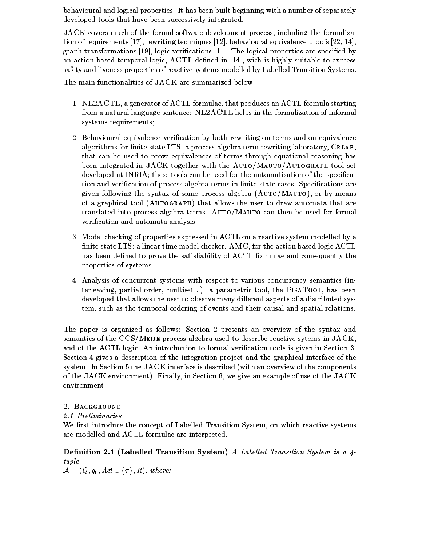behavioural and logical properties It has been built beginning with a number of separately developed tools that have been successively integrated

JACK covers much of the formal software development process, including the formalization of requirements  $\left[17\right]$ , rewriting techniques  $\left[12\right]$ , behavioural equivalence proofs  $\left[22, 14\right]$ , graph transformations in graph transformations in the logical properties are specifically in an action based temporal logic ACTL desafety and liveness properties of reactive systems modelled by Labelled Transition Systems

The main functionalities of  $\rm JACK$  are summarized below.

- 1. NL2ACTL, a generator of ACTL formulae, that produces an ACTL formula starting from a natural language sentence:  $NL2ACTL$  helps in the formalization of informal systems requirements
- Behavioural equivalence veri-cation by both rewriting on terms and on equivalence nique algebra is a process a process algebra term rewriting laboratory Crement is that can be used to prove equivalences of terms through equational reasoning has been integrated in  $JACK$  together with the AUTO/MAUTO/AUTOGRAPH tool set developed at Inrina these tools can be used for the automatical contents of the species of the species of the s tion and veri-cation of process algebra terms in -nite state cases Speci-cations are given following the syntax of some process algebra  $(Auro/MAuro)$ , or by means of a graphical tool Autograph that allows the user to draw automata that are translated into process algebra terms. AUTO/MAUTO can then be used for formal verification and automata analysis and automata analysis and automata analysis and automatically become analysis
- 3. Model checking of properties expressed in ACTL on a reactive system modelled by a -nite state LTS a linear time model checker AMC for the action based logic ACTL has been de-ned to prove the satis-ability of ACTL formulae and consequently the properties of systems
- Analysis of concurrent systems with respect to various concurrency semantics in terleaving, partial order, multiset...): a parametric tool, the PISATOOL, has been developed that allows the user to observe many different aspects of a distributed system, such as the temporal ordering of events and their causal and spatial relations.

The paper is organized as follows: Section 2 presents an overview of the syntax and semantics of the  $\frac{\text{CCS}}{\text{MEIJE}}$  process algebra used to describe reactive sytems in  $\text{JACK}$ . and of the ACTL logic Annual verificial verificial verificial verificial verificial verificial verificial verificial verificial verificial verificial verificial verificial verificial verificial verificial verificial verif Section 4 gives a description of the integration project and the graphical interface of the system. In Section 5 the  $\rm JACK$  interface is described (with an overview of the components of the JACK environment). Finally, in Section 6, we give an example of use of the JACK environment

# 2. BACKGROUND

We -rst introduce the concept of Labelled Transition System on which reactive systems are modelled and ACTL formulae are interpreted

De-nition Labelled Transition System A Label led Transition System is a tuple

<sup>A</sup> Q- q- Act - f g- R where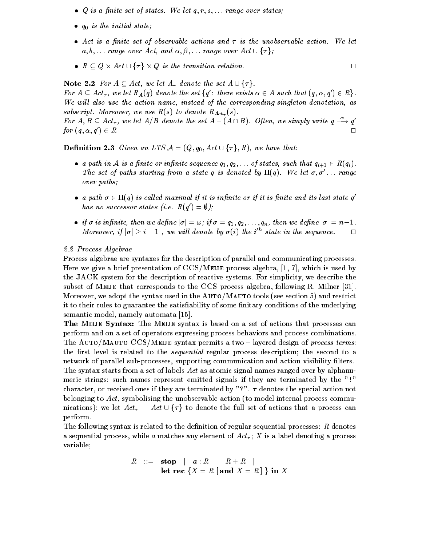- we let states-states-states-states-states-states-states-states-states-states-states-states-states-states-states-
- $\bullet$  q<sub>0</sub> is the initial state;
- Act is a nite set of observable actions and is the unobservable action- We let a-cart and - f g and - f g and - f g and - f g and - f and - f and - f and - f and - f and - f and - f and - f

• 
$$
R \subseteq Q \times Act \cup {\tau} \times Q
$$
 is the transition relation.

Note For <sup>A</sup> Act we let A denote the set <sup>A</sup> - f g-For  $A \subseteq Act_{\tau}$ , we let  $R_A(q)$  denote the set  $\{q' : \text{ there exists } \alpha \in A \text{ such that } (q, \alpha, q') \in R \}.$ We will also use the action name, instead of the corresponding singleton denotation, as  $\mathbf{I}$  more assumed to denote  $\mathbf{I}$ 

For  $A, B \subseteq Act_\tau$ , we let  $A/B$  denote the set  $A-(A \cap B)$ . Often, we simply write  $q \stackrel{\sim}{\longrightarrow} q'$ for q-  $q') \in R$ 

De-nition Given an LTS <sup>A</sup> Q- q- Act - f g- R we have that

- a path in A is a nite or information that it is a nite of state or in the state of states such that  $\mu$ The set of paths starting from a state q is denoted by  $\Pi(q)$ . We let  $\sigma, \sigma'$ ... range over paths
- a path  $\sigma \in \Pi(q)$  is called maximal if it is infinite or if it is finite and its last state q' has no successor states (i.e.  $R(q') = \emptyset$ );
- if is innite then we dene jj if q-- q- - qn then we dene jj n- $\mu$  oreover,  $\mu$   $\sigma$   $\mu$   $\mu$   $\mu$   $\sigma$  is the will denote by  $\sigma$  (i) the integration the sequence.

### - Process Algebrae

Process algebrae are syntaxes for the description of parallel and communicating processes Here we give a brief presentation of  $\text{CCS/MEIE}$  process algebra, [1, 7], which is used by the JACK system for the description of reactive systems For simplicity we describe the subset of MEIJE that corresponds to the CCS process algebra, following R. Milner  $[31]$ . Moreover, we adopt the syntax used in the  $Auro/MAuro$  tools (see section  $5$ ) and restrict it to their rules to guarantee the satis-ability of some -nitary conditions of the underlying semantic model, namely automata  $[15]$ .

The MEIJE Syntax: The MEIJE syntax is based on a set of actions that processes can perform and on a set of operators expressing process behaviors and process combinations The AUTO/MAUTO CCS/MEIJE syntax permits a two – layered design of process terms: the -rst level is related to the sequential regular process description the second to a network of parallel subprocesses supporting communication and action visibility -lters The syntax starts from a set of labels Act as atomic signal names ranged over by alphanumeric strings; such names represent emitted signals if they are terminated by the "!" character or received ones if they are terminated by - denotes the special action not belonging to  $Act$ , symbolising the unobservable action (to model internal process communications we let Act in the full set of act of act of act of actions that a process can be a process can be a perform

The following syntax is related to the de-nition of regular sequential processes R denotes a sequential process, while a matches any element of  $Act_{\tau}$ ; X is a label denoting a process variable

$$
R \quad ::= \quad \mathbf{stop} \quad | \quad a : R \quad | \quad R + R \quad |
$$
\n
$$
\mathbf{let} \ \mathbf{rec} \ \{X = R \ [\text{ and } X = R] \ \} \ \mathbf{in} \ X
$$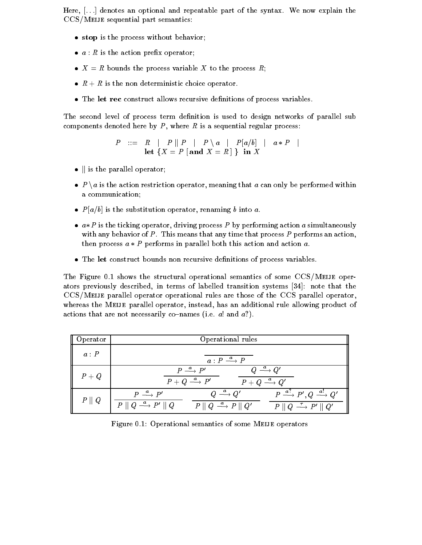Here,  $\left[ \ldots \right]$  denotes an optional and repeatable part of the syntax. We now explain the  $CCS/ME$ IJE sequential part semantics:

- stop is the process without behavior;
- a r is the action present operators.
- $\bullet$  X = R bounds the process variable X to the process R;
- $R + R$  is the non deterministic choice operator.
- The let rec construct allows recursive de-nitions of process variables

The second level of process term de-nition is used to design networks of parallel sub components denoted here by  $P$ , where  $R$  is a sequential regular process:

$$
P \ ::= \ R \ | \ P \parallel P \ | \ P \setminus a \ | \ P[a/b] \ | \ a * P \ |
$$
  
let 
$$
\{X = P \ [ \text{ and } X = R \ ] \} \ \text{in} \ X
$$

- $\bullet$  || is the parallel operator;
- $P \setminus a$  is the action restriction operator, meaning that a can only be performed within a communication
- $P[a/b]$  is the substitution operator, renaming b into a.
- $a * P$  is the ticking operator, driving process P by performing action a simultaneously with any behavior of  $P$ . This means that any time that process  $P$  performs an action, then process  $a * P$  performs in parallel both this action and action  $a$ .
- The let construct bounds non recursive de-nitions of process variables

The Figure  $0.1$  shows the structural operational semantics of some  $CCS/ME$ IJE operators previously described, in terms of labelled transition systems [34]: note that the CCSMeije parallel operator operational rules are those of the CCS parallel operator whereas the MEIJE parallel operator, instead, has an additional rule allowing product of actions that are not necessarily co-names (i.e.  $a!$  and  $a?$ ).

| Operator        | Operational rules                                                                                                                                                    |                                                                                                      |                                                                                                                                                |
|-----------------|----------------------------------------------------------------------------------------------------------------------------------------------------------------------|------------------------------------------------------------------------------------------------------|------------------------------------------------------------------------------------------------------------------------------------------------|
| $a$ : $P$       | $a : P \stackrel{a}{\longrightarrow} P$                                                                                                                              |                                                                                                      |                                                                                                                                                |
| $P\,+\,Q$       | $Q \stackrel{a}{\longrightarrow} Q'$<br>$P \stackrel{a}{\longrightarrow} P'$<br>$P + Q \stackrel{a}{\longrightarrow} P'$<br>$P + Q \stackrel{a}{\longrightarrow} Q'$ |                                                                                                      |                                                                                                                                                |
| $P \parallel Q$ | $P \stackrel{a}{\longrightarrow} P'$<br>$P \parallel Q \stackrel{a}{\longrightarrow} P' \parallel Q$                                                                 | $Q \stackrel{a}{\longrightarrow} Q'$<br>$P \parallel Q \stackrel{a}{\longrightarrow} P \parallel Q'$ | $P \stackrel{a?}{\longrightarrow} P', Q \stackrel{a!}{\longrightarrow} Q'$<br>$P \parallel Q \stackrel{\tau}{\longrightarrow} P' \parallel Q'$ |

Figure 0.1: Operational semantics of some MEIJE operators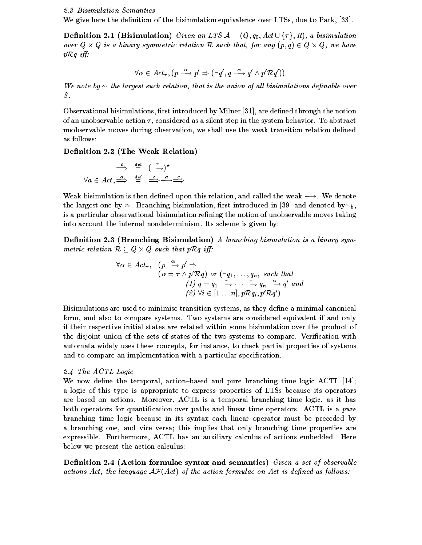we give here the de-bisimulation of the bisimulation equivalence over LTSs due to Park and the park of

 $\mathcal{L} = \{ \mathcal{L} = \mathcal{L} \mid \mathcal{L} = \mathcal{L} \}$ over a group to a string symmetric relation relation means that for any property and considered that for any  $p \mathcal{R} q$  iff:

$$
\forall \alpha \in \textit{Act}_{\tau}, (p \stackrel{\alpha}{\longrightarrow} p' \Rightarrow (\exists q', q \stackrel{\alpha}{\longrightarrow} q' \wedge p' \mathcal{R}q'))
$$

We note by  $\sim$  the largest such relation, that is the union of all bisimulations definable over  $S_{-}$ 

 $\mathbf{r}$  introduced by Milner are definitions  $\mathbf{r}$  introduced by Milner are defined by Milner and  $\mathbf{r}$ of an unobservable action  $\tau$ , considered as a silent step in the system behavior. To abstract unobservable moves during observation we shall use the weak transition relation de-ned as follows

### De-nition The Weak Relation

$$
\Rightarrow \stackrel{\leq \varepsilon}{\implies} (\stackrel{\pi}{\longrightarrow})^{\star}
$$
  

$$
\forall a \in Act, \stackrel{\alpha}{\implies} \stackrel{\text{def}}{\implies} \stackrel{\leq \varepsilon}{\implies} \stackrel{a}{\longrightarrow} \stackrel{\varepsilon}{\implies}
$$

we accommodate is the state of the weak of the weak of the weak  $\cdots$  we are well as a weak  $\cdots$ the largest one by Branching bisimulation into the control method in  $\mathbf{p}$  and denote  $\mathbf{p}$  and is a particular observational bisimulation re-ning the notion of unobservable moves taking into account the internal nondeterminism. Its scheme is given by:

De-nition Branching Bisimulation A branching bisimulation is a binary sym metric relation  $\mathcal{R} \subseteq Q \times Q$  such that p $\mathcal{R}q$  iff:

$$
\forall \alpha \in Act_{\tau}, \quad (p \xrightarrow{\alpha} p' \Rightarrow (\alpha = \tau \wedge p' \mathcal{R}q) \text{ or } (\exists q_1, \ldots, q_n, \text{ such that } (1) \text{ } q = q_1 \xrightarrow{\tau} \cdots \xrightarrow{\tau} q_n \xrightarrow{\alpha} q' \text{ and } (2) \forall i \in [1 \ldots n], p \mathcal{R}q_i, p' \mathcal{R}q')
$$

Bisimulations are used to minimise transition systems as they de-ne a minimal canonical form, and also to compare systems. Two systems are considered equivalent if and only if their respective initial states are related within some bisimulation over the product of the disjoint union of the sets of states of the two systems to compare Veri-cation with automata widely uses these concepts, for instance, to check partial properties of systems and to compare an implementation with a particular specification  $\sim$ 

### - The ACTL Logic

We now de-ne the temporal actionbased and pure branching time logic ACTL a logic of this type is appropriate to express properties of LTSs because its operators are based on actions. Moreover, ACTL is a temporal branching time logic, as it has both operators for quanti-cation over paths and linear time operators ACTL is a pure branching time logic because in its syntax each linear operator must be preceded by a branching one, and vice versa; this implies that only branching time properties are expressible. Furthermore, ACTL has an auxiliary calculus of actions embedded. Here below we present the action calculus

De-nition Action formulae syntax and semantics Given a set of observable actions Act, the language  $\mathcal{AF}(Act)$  of the action formulae on Act is defined as follows: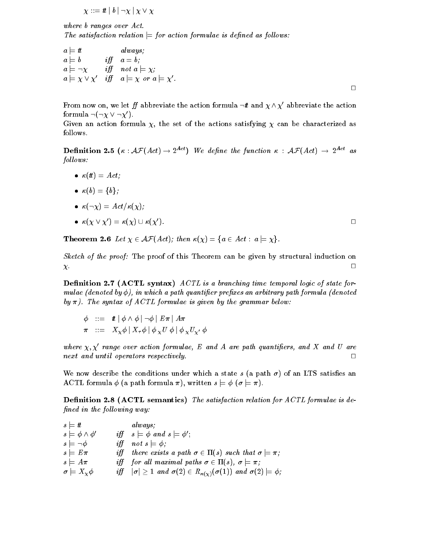$\Lambda$  i b  $\Lambda$  j  $\Lambda$ 

where  $b$  ranges over  $Act.$ The satisfaction relation  $\models$  for action formulae is defined as follows:

$$
a \models t \quad always; a \models b \quad if \quad a = b; a \models \neg \chi \quad iff \quad not \ a \models \chi; a \models \chi \lor \chi' \quad iff \quad a \models \chi \ or \ a \models \chi'.
$$

From now on, we let  $f\!f$  abbreviate the action formula  $\neg t$  and  $\chi \wedge \chi'$  abbreviate the action formula  $\neg(\neg \chi \vee \neg \chi')$ .

 $\mathbf{A}$  in action for the action formula  $\mathbf{A}$  in a set of the actions satisfying  $\mathbf{A}$ follows

**Definition 2.5** (k:  $AF(Act) \rightarrow 2^{***}$ ) We define the function  $\kappa$ :  $AF(Act) \rightarrow 2^{***}$  as follows:

- $\kappa$ (*t*) = Act;
- $\kappa(b) = \{b\}$ ;
- a and the contract of the contract of the contract of the contract of the contract of the contract of the contract of the contract of the contract of the contract of the contract of the contract of the contract of the cont
- $\kappa(\chi \vee \chi') = \kappa(\chi) \cup \kappa(\chi').$

Theorem  Let AFAct then fa Act a j g-

Sketch of the proof: The proof of this Theorem can be given by structural induction on  $\chi$ .

De-nition 
 ACTL syntax ACTL is a branching time temporal logic of state for mulae path and the path of the path of path path presented and an arbitrary path formula path formula in by - The syntax of ACTL formulae is given by the grammar below

$$
\begin{array}{lll}\n\phi & ::= & \# \mid \phi \land \phi \mid \neg \phi \mid E\pi \mid A\pi \\
\pi & ::= & X_{\chi}\phi \mid X_{\tau}\phi \mid \phi \underset{\chi}U \phi \mid \phi \underset{\chi}U_{\chi'}\phi\n\end{array}
$$

where  $\chi$ ,  $\chi'$  range over action formulae, E and A are path quantifiers, and X and U are next and until operators respectively.  $\Box$ 

We now describe the conditions under which a state <sup>s</sup> a path of an LTS satis-es an ACTL formula  $\phi$  (a path formula  $\pi$ ), written  $s \models \phi$  ( $\sigma \models \pi$ ).

De-nition ACTL semantics The satisfaction relation for ACTL formulae is de fined in the following way:

| $s \models t$                       | always;                                                                                              |
|-------------------------------------|------------------------------------------------------------------------------------------------------|
| $s \models \phi \land \phi'$        | iff $s \models \phi$ and $s \models \phi'$ ;                                                         |
| $s \models \neg \phi$               | iff not $s \models \phi$ ;                                                                           |
| $s \models E\pi$                    | iff there exists a path $\sigma \in \Pi(s)$ such that $\sigma \models \pi$ ;                         |
| $s = A\pi$                          | iff for all maximal paths $\sigma \in \Pi(s)$ , $\sigma \models \pi$ ;                               |
| $\sigma \models X_{\mathbf{v}}\phi$ | iff $ \sigma  \geq 1$ and $\sigma(2) \in R_{\kappa(\chi)}(\sigma(1))$ and $\sigma(2) \models \phi$ ; |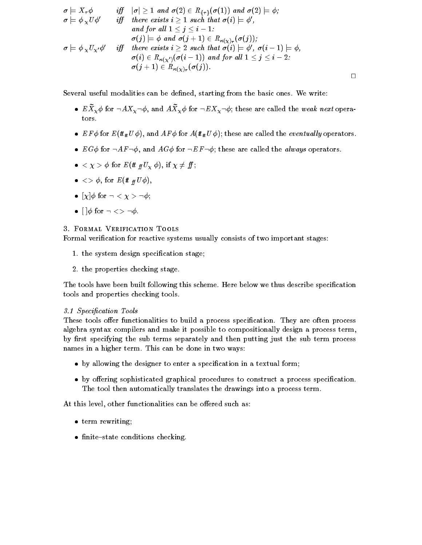$$
\sigma \models X_{\tau}\phi \qquad \quad \text{iff} \quad \mid \sigma \mid \geq 1 \; \text{ and } \sigma(2) \in R_{\{\tau\}}(\sigma(1)) \; \text{and} \; \sigma(2) \models \phi; \\ \sigma \models \phi \, {}_{\chi}U\phi' \qquad \quad \text{iff} \quad \text{there exists } i \geq 1 \; \text{such that} \; \sigma(i) \models \phi', \\ \quad \quad \text{and for all } 1 \leq j \leq i-1: \\ \quad \quad \sigma(j) \models \phi \; \text{and} \; \sigma(j+1) \in R_{\kappa(\chi)_{\tau}}(\sigma(j)); \\ \sigma \models \phi \, {}_{\chi}U_{\chi'}\phi' \quad \quad \text{iff} \quad \text{there exists } i \geq 2 \; \text{such that} \; \sigma(i) \models \phi', \; \sigma(i-1) \models \phi, \\ \quad \quad \sigma(i) \in R_{\kappa(\chi')}(\sigma(i-1)) \; \text{and for all } 1 \leq j \leq i-2: \\ \quad \quad \sigma(j+1) \in R_{\kappa(\chi)_{\tau}}(\sigma(j)).
$$

 $\mathbf{S}$  and be defined starting from the basic ones We write  $\mathbf{S}$ 

•  $E\Lambda_{\chi}\varphi$  for  $\neg A\Lambda_{\chi}\neg\varphi$ , and  $A\Lambda_{\chi}\varphi$  for  $\neg E\Lambda_{\chi}\neg\varphi$ ; these are called the weak next opera-

 $\Box$ 

- $\mathcal{F} = \mathcal{F}$  for  $\mathcal{F} = \{ \mathcal{F} \mid \mathcal{F} \}$  . The eventual ly operators are called the eventual ly operators in
- $EG\phi$  for  $\neg AF\neg \phi$ , and  $AG\phi$  for  $\neg EF\neg \phi$ ; these are called the *always* operators.
- $\lambda$  f  $\tau$  =  $\tau$  if  $\tau$  if  $\tau$  if  $\lambda$  if  $\mu$  if  $\tau$
- for  $\tau$ ,  $\tau$  for  $\tau$   $\tau$   $\tau$   $\tau$
- for the contract of the contract of the contract of the contract of the contract of the contract of the contract of the contract of the contract of the contract of the contract of the contract of the contract of the contra
- $\phi$  for  $\neg \lt\gt \neg \phi$ .

## 3. FORMAL VERIFICATION TOOLS

Formal veri-cation for reactive systems usually consists of two important stages

- the system species specification specification specific specific specific specific specific specific specification s
- 2. the properties checking stage.

The tools have been built following this scheme Here below we thus describe speci-cation tools and properties checking tools

## - Special and the special contraction to the special contract of the special contract of the special contract of the special contract of the special contract of the special contract of the special contract of the special c

These tools oer functionalities to build a process speci-cation They are often process algebra syntax compilers and make it possible to compositionally design a process term by -rst specifying the sub terms separately and then putting just the sub term process names in a higher term. This can be done in two ways:

- by allowing the designer to enter a speci-cation in a textual form
- by oering sophisticated graphical procedures to construct a process speci-cation The tool then automatically translates the drawings into a process term

At this level, other functionalities can be offered such as:

- term rewriting;
- -nitestate conditions checking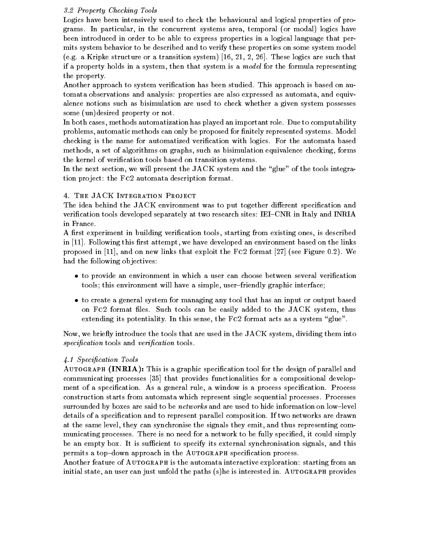# - Property Checking Tools

Logics have been intensively used to check the behavioural and logical properties of pro grams. In particular, in the concurrent systems area, temporal (or modal) logics have been introduced in order to be able to express properties in a logical language that per mits system behavior to be described and to verify these properties on some system model (e.g. a Kripke structure or a transition system)  $[16, 21, 2, 26]$ . These logics are such that if a property holds in a system, then that system is a *model* for the formula representing the property

and there approach to system verifies and note it and the studied opposite it and the studies tomata observations and analysis: properties are also expressed as automata, and equivalence notions such as bisimulation are used to check whether a given system possesses some (un)desired property or not.

In both cases, methods automatization has played an important role. Due to computability problems automatic methods can only be proposed for -nitely represented systems Model checking is the name for automatized verified verified verified verified verified verified verified verified v methods, a set of algorithms on graphs, such as bisimulation equivalence checking, forms the kernel of veri-cation tools based on transition systems

In the next section, we will present the  $JACK$  system and the "glue" of the tools integration project: the  $Fc2$  automata description format.

## The JACK Integration Project

The idea behind the JACK environment was to put together dierent speci-cation and veries to the developed separately at two research sites IEICNR in Italy and Italy and Italy and Italy in France

A -rst experiment in building veri-cation tools starting from existing ones is described in Following this -rst attempt we have developed an environment based on the links proposed in  $[11]$ , and on new links that exploit the Fc2 format  $[27]$  (see Figure 0.2). We had the following objectives:

- to provide an environment in which a user can choose between several veri-cation tools; this environment will have a simple, user-friendly graphic interface;
- to create a general system for managing any tool that has an input or output based on Fc format -les Such tools can be easily added to the JACK system thus extending its potentiality. In this sense, the  $Fc2$  format acts as a system "glue".

Now, we briefly introduce the tools that are used in the  $JACK$  system, dividing them into specification tools and verification tools.

# - Specication Tools

autos is a graph India and the design of parallel and the design of parallel and the design of parallel and th communicating processes [35] that provides functionalities for a compositional developcation as a processed rule and in general rule and in a cation a process specification is a collection of construction starts from automata which represent single sequential processes Processes surrounded by boxes are said to be *networks* and are used to hide information on  $low$ -level cations is a specification and to represent parameter things are drawn are drawn as a more drawn are at the same level, they can synchronise the signals they emit, and thus representing communicating processes There is no need for a network to be fully speci-ed it could simply be an empty box. It is sufficient to specify its external synchronisation signals, and this permits a topdown approach in the Autograph speci-cation process

Another feature of AUTOGRAPH is the automata interactive exploration: starting from an initial state, an user can just unfold the paths  $(s)$ he is interested in. AUTOGRAPH provides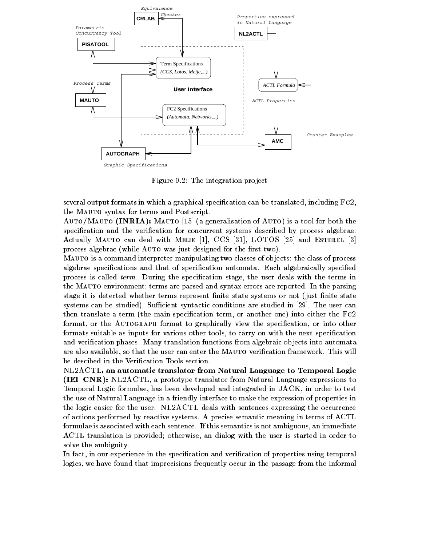

Figure 0.2: The integration project

several output formation in which a graphical species in the translated including Fc and  $\alpha$ the MAUTO syntax for terms and Postscript.

Auto/Mauto (INRIA): Mauto [15] (a generalisation of Auto) is a tool for both the speci-cation and the veri-cation for concurrent systems described by process algebrae Actually MAUTO can deal with MEIJE  $[1]$ , CCS  $[31]$ , LOTOS  $[25]$  and ESTEREL  $[3]$ process algebrae while Auto was just designed for the - two was just

MAUTO is a command interpreter manipulating two classes of objects: the class of process algebrae speci-cations and that of speci-cation automata Each algebraically speci-ed process is called term During the speci-cation stage the user deals with the terms in the MAUTO environment; terms are parsed and syntax errors are reported. In the parsing stage it is detected whether terms represent -nite state systems or not just -nite state systems can be studied Su!cient syntactic conditions are studied in The user can the transfer a term the main speciment the term or another the fact of the Fc  $\sim$ format or the Autograph format to graphically view the speci-cation or into other formats suitable as inputs for various other tools to carry on with the next speci-cation and verificial princes many translation functions from algebraic objects into an observation are also available so that the user can enter the Mauto veri-cation framework This will

NLACTL an automatic translator from Natural Language to Temporal Logic  $\bf (IEI-CNR): NL2ACTL$ , a prototype translator from Natural Language expressions to Temporal Logic formulae, has been developed and integrated in JACK, in order to test the use of Natural Language in a friendly interface to make the expression of properties in the logic easier for the user.  $NL2ACTL$  deals with sentences expressing the occurrence of actions performed by reactive systems A precise semantic meaning in terms of ACTL formulae is associated with each sentence If this semantics is not ambiguous an immediate ACTL translation is provided; otherwise, an dialog with the user is started in order to solve the ambiguity

cation in the separated in the specification and the specific temporal cation of properties using temporal logics, we have found that imprecisions frequently occur in the passage from the informal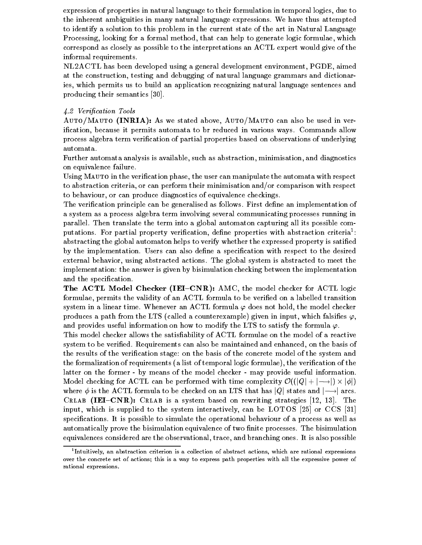expression of properties in natural language to their formulation in temporal logics, due to the inherent ambiguities in many natural language expressions. We have thus attempted to identify a solution to this problem in the current state of the art in Natural Language Processing, looking for a formal method, that can help to generate logic formulae, which correspond as closely as possible to the interpretations an ACTL expert would give of the informal requirements

NL2ACTL has been developed using a general development environment, PGDE, aimed at the construction, testing and debugging of natural language grammars and dictionaries which permits us to build an application recognizing natural language sentences and producing their semantics [30].

## - Verication Tools

AUTO/MAUTO (INRIA): As we stated above, AUTO/MAUTO can also be used in veri-cation because it permits automata to br reduced in various ways Commands allow process algebra term veri-cation of partial properties based on observations of underlying automata

Further automata analysis is available, such as abstraction, minimisation, and diagnostics on equivalence failure

Using Mauto in the veri-cation phase the user can manipulate the automata with respect to abstraction criteria, or can perform their minimisation and/or comparison with respect to behaviour, or can produce diagnostics of equivalence checkings.

The veri-cation principle can be generalised as follows First de-ne an implementation of a system as a process algebra term involving several communicating processes running in parallel. Then translate the term into a global automaton capturing all its possible computations. For partial property verincation, denne properties with abstraction criteria-: abstracting the global automaton helps to verify whether the expressed property is sati-ed by the implementation Users can also de-ne a speci-cation with respect to the desired external behavior, using abstracted actions. The global system is abstracted to meet the implementation: the answer is given by bisimulation checking between the implementation and the species of the species of the species of the species of the species of the species of the species of the

The ACTL Model Checker (IEI-CNR): AMC, the model checker for ACTL logic formulae permits the validity of an ACTL formula to be veri-ed on a labelled transition system in a linear time. Whenever an ACTL formula  $\varphi$  does not hold, the model checker produces a path from the LTS called a counterexample given in input which falsi-es and provides useful information on how to modify the LTS to satisfy the formula  $\varphi$ .

This model checker allows the satis-ability of ACTL formulae on the model of a reactive eystem to be verified also be verified and and enhanced on the basis of the basis of the basis of the basis of the results of the veri-cation stage on the basis of the concrete model of the system and the formalization of requirements a list of temporal logic formulae the veri-cation of the latter on the former - by means of the model checker - may provide useful information. Model checking for ACTL can be performed with time complexity  $\mathcal{O}((|Q|+| \rightarrow |) \times |\phi|)$ where  $\phi$  is the ACTL formula to be checked on an LTS that has |Q| states and  $\rightarrow$  | arcs. CRLAB (IEI-CNR): CRLAB is a system based on rewriting strategies  $[12, 13]$ . The input, which is supplied to the system interactively, can be LOTOS  $[25]$  or CCS  $[31]$ speci-cations It is possible to simulate the operational behaviour of a process as well as automatically prove the bisimulation equivalence of two -provesses The bisimulation - the bisimulation equivalences considered are the observational, trace, and branching ones. It is also possible

<sup>-</sup> Intuitively- an abstraction criterion is a collection of abstract actions- which are rational expressionsover the concrete set of actions; this is a way to express path properties with all the expressive power of rational expressions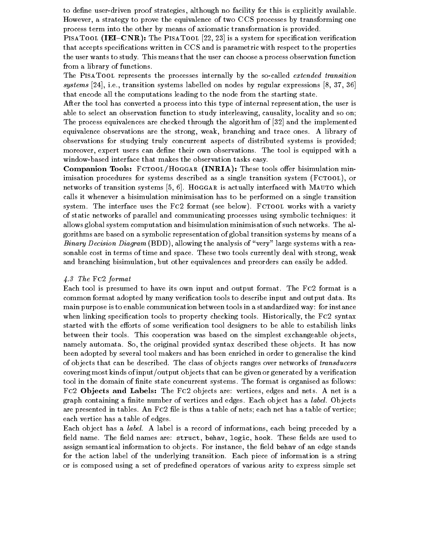to de-ne userdriven proof strategies although no facility for this is explicitly available However, a strategy to prove the equivalence of two CCS processes by transforming one process term into the other by means of axiomatic transformation is provided

PisaTool IEICNR The PisaTool 
 is a system for speci-cation veri-cation that accepts speci-cations written in CCS and is parametric with respect to the properties the user wants to study. This means that the user can choose a process observation function from a library of functions

The PISATOOL represents the processes internally by the so-called *extended transition* systems [24], i.e., transition systems labelled on nodes by regular expressions [8, 37, 36] that encode all the computations leading to the node from the starting state

After the tool has converted a process into this type of internal representation, the user is able to select an observation function to study interleaving, causality, locality and so on; The process equivalences are checked through the algorithm of  $[32]$  and the implemented equivalence observations are the strong, weak, branching and trace ones. A library of observations for studying truly concurrent aspects of distributed systems is provided more the the their own observations the total can de-the tool is equipped with a strong to window-based interface that makes the observation tasks easy.

**Companion Tools:**  $FCTOOL/HOGGAR$  (INRIA): These tools offer bisimulation minimisation procedures for systems described as a single transition system (FCTOOL), or networks of transition systems  $[5, 6]$ . HOGGAR is actually interfaced with MAUTO which calls it whenever a bisimulation minimisation has to be performed on a single transition system. The interface uses the  $Fc2$  format (see below). FcTOOL works with a variety of static networks of parallel and communicating processes using symbolic techniques it allows global system computation and bisimulation minimisation of such networks The al gorithms are based on a symbolic representation of global transition systems by means of a *Binary Decision Diagram* (BDD), allowing the analysis of "very" large systems with a reasonable cost in terms of time and space. These two tools currently deal with strong, weak and branching bisimulation, but other equivalences and preorders can easily be added.

## $\mathbf{r}$  . The Fc formation is the Fc formation in the Fc formation in the formation in the formation in the formation in the formation in the formation in the formation in the formation in the formation in the formation

Each tool is presumed to have its own input and output format. The Fc2 format is a common format adopted by many veri-cation tools to describe input and output data Its main purpose is to enable communication between tools in a standardized way: for instance when linking special special special special tools Historically the Fc syntaxis Historically the Fc syntaxis H started with the eorts of some veri-cation tool designers to be able to estabilish links between their tools. This cooperation was based on the simplest exchangeable objects, namely automata. So, the original provided syntax described these objects. It has now been adopted by several tool makers and has been enriched in order to generalise the kind of objects that can be described. The class of objects ranges over networks of transducers covering most kinds of input of input or jects that can be given or generated by a catholical by tool in the domain of -nite state concurrent systems The format is organised as follows  $Fc2$  Objects and Labels: The  $Fc2$  objects are: vertices, edges and nets. A net is a graph containing a -nite number of vertices and edges Each ob ject has a label Ob jects are presented in tables An Fc -le is thus a table of nets each net has a table of vertice each vertice has a table of edges

Each object has a *label*. A label is a record of informations, each being preceded by a -eld name The -eld names are struct behav logic hook These -elds are used to assign semantical information to objects: For instance the -distribution the -displayer stands for the action label of the underlying transition Each piece of information is a string or is composed using a set of prede-ned operators of various arity to express simple set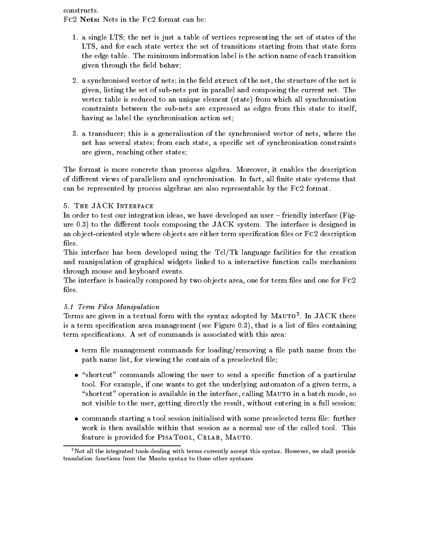constructs  $Fc2$  Nets: Nets in the  $Fc2$  format can be:

- 1. a single LTS; the net is just a table of vertices representing the set of states of the LTS, and for each state vertex the set of transitions starting from that state form the edge table. The minimum information label is the action name of each transition given the complete through the second through the second through the second term in the second term in the second term in the second term in the second term in the second term in the second term in the second term in the s
- a synchronised vector of nets in the structure of the net the structure of the net the structure of the net is given, listing the set of sub-nets put in parallel and composing the current net. The vertex table is reduced to an unique element (state) from which all synchronisation constraints between the sub-nets are expressed as edges from this state to itself, having as label the synchronisation action set
- 3. a transducer; this is a generalisation of the synchronised vector of nets, where the net mans several states from each state a specific state a process constraints a several constraints. are given, reaching other states;

The format is more concrete than process algebra. Moreover, it enables the description of dierent views of parallelism and synchronisation In fact all -nite state systems that can be represented by process algebrae are also representable by the  $Fc2$  format.

# 5. THE JACK INTERFACE

In order to test our integration ideas, we have developed an user  $-$  friendly interface (Figure 0.3) to the different tools composing the JACK system. The interface is designed in an ob jectoriented style where ob jects are either term speci-cation -les or Fc description

This interface has been developed using the  $Tcl/Tk$  language facilities for the creation and manipulation of graphical widgets linked to a interactive function calls mechanism through mouse and keyboard events

The interface is basically composed by two ob jects area one for term -les and one for Fc

# - Term Files Manipulation

Terms are given in a textual form with the syntax adopted by MAUTO. In JACK there is a term speci-cation area management see Figure 
 that is a list of -les containing term specifications A set of community  $\mathbb{R}^n$  set of community  $\mathbb{R}^n$  sassociated with this area  $\mathbb{R}^n$ 

- term -le management commands for loadingremoving a -le path name from the path name list for viewing the contain of a preselected -le
- shortcut communication allowing the user to send a specification of a particular  $\sim$ tool. For example, if one wants to get the underlying automaton of a given term, a "shortcut" operation is available in the interface, calling  $M$ AUTO in a batch mode, so not visible to the user, getting directly the result, without entering in a full session;
- commands starting a tool session initialised with some preselected term -le further work is then available within that session as a normal use of the called tool. This feature is provided for PISATOOL, CRLAB, MAUTO.

Not all the integrated tools dealing with terms currently accept this syntax However- we shall providetranslation functions from the Mauto syntax to these other syntaxes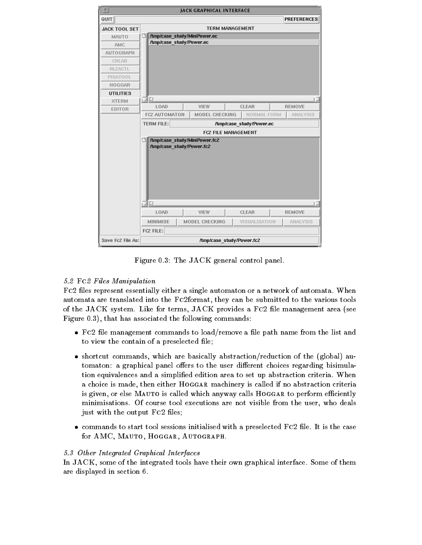| $\overline{\nabla}$  |                                                            | <b>JACK GRAPHICAL INTERFACE</b> |                           |                    |                    |
|----------------------|------------------------------------------------------------|---------------------------------|---------------------------|--------------------|--------------------|
| <b>QUIT</b>          |                                                            |                                 |                           |                    | <b>PREFERENCES</b> |
| <b>JACK TOOL SET</b> |                                                            |                                 | <b>TERM MANAGEMENT</b>    |                    |                    |
| <b>MAUTO</b>         | /tmp/case study/MiniPower.ec                               |                                 |                           |                    |                    |
| AMC                  | /tmp/case study/Power.ec                                   |                                 |                           |                    |                    |
| <b>AUTOGRAPH</b>     |                                                            |                                 |                           |                    |                    |
| CRLAB                |                                                            |                                 |                           |                    |                    |
| NL2ACTL              |                                                            |                                 |                           |                    |                    |
| <b>PISATOOL</b>      |                                                            |                                 |                           |                    |                    |
| <b>HOGGAR</b>        |                                                            |                                 |                           |                    |                    |
| <b>UTILITIES</b>     |                                                            |                                 |                           |                    |                    |
| <b>XTERM</b>         |                                                            |                                 |                           |                    |                    |
| <b>EDITOR</b>        | LOAD                                                       | <b>VIEW</b>                     | <b>CLEAR</b>              |                    | <b>REMOVE</b>      |
|                      | <b>FC2 AUTOMATON</b>                                       | MODEL CHECKING                  |                           | <b>NORMAL FORM</b> | <b>ANALYSIS</b>    |
|                      | <b>TERM FILE:</b>                                          |                                 | /tmp/case study/Power.ec  |                    |                    |
|                      | <b>FC2 FILE MANAGEMENT</b>                                 |                                 |                           |                    |                    |
|                      | /tmp/case study/MiniPower.fc2<br>/tmp/case_study/Power.fc2 |                                 |                           |                    |                    |
|                      | LOAD                                                       | <b>VIEW</b>                     | <b>CLEAR</b>              |                    | <b>REMOVE</b>      |
|                      | <b>MINIMISE</b>                                            | MODEL CHECKING                  | VISUALISATION             |                    | <b>ANALYSIS</b>    |
|                      | FC2 FILE:                                                  |                                 |                           |                    |                    |
| Save Fc2 File As:    |                                                            |                                 | /tmp/case study/Power.fc2 |                    |                    |

Figure 0.3: The JACK general control panel.

# - Fc Files Manipulation

Fc -les represent essentially either a single automaton or a network of automata When automata are translated into the FC2format, they can be submitted to the various tools of the JACK system Like for terms JACK provides a Fc -le management area see Figure 0.3), that has associated the following commands:

- Fc -le management commands to loadremove a -le path name from the list and to view the contain of a preselected -le
- $\bullet$  shortcut commands, which are basically abstraction/reduction of the (global) automaton: a graphical panel offers to the user different choices regarding bisimulation equivalences and a simpli-ed edition area to set up abstraction criteria When a choice is made, then either HOGGAR machinery is called if no abstraction criteria is given, or else MAUTO is called which anyway calls HOGGAR to perform efficiently minimisations. Of course tool executions are not visible from the user, who deals just with the output Fc - less the output Fc - less the output Fc - less than the output Fc - less than the output F
- commands to start tool sessions initialised with a preselected Fc -le It is the case for AMC, MAUTO, HOGGAR, AUTOGRAPH.

# - Other Integrated Graphical Interfaces

In JACK, some of the integrated tools have their own graphical interface. Some of them are displayed in section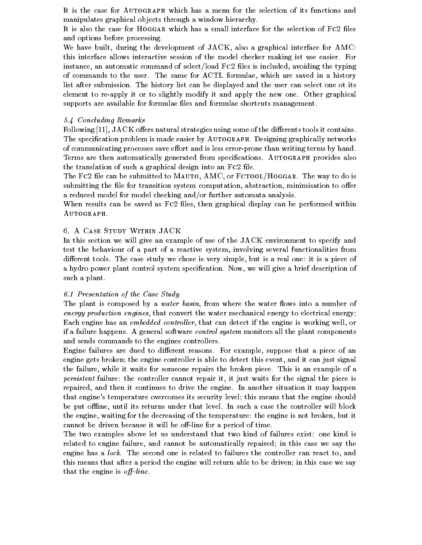It is the case for AUTOGRAPH which has a menu for the selection of its functions and manipulates graphical ob jects through a window hierarchy

and options before processing

We have built, during the development of  $JACK$ , also a graphical interface for  $AMC$ : this interface allows interactive session of the model checker making ist use easier. For instance an automatic command of selectload Fc -les is included avoiding the typing of commands to the user. The same for ACTL formulae, which are saved in a history list after submission. The history list can be displayed and the user can select one ot its element to re-apply it or to slightly modify it and apply the new one. Other graphical supports are available for formulae -les and formulae shortcuts management

## , which are concerned and concerned and concerned and concerned and concerned and concerned and concerned and

Following  $[11]$ ,  $JACK$  offers natural strategies using some of the differents tools it contains. The speci-cation problem is made easier by Autograph Designing graphically networks of communicating processes save effort and is less error-prone than writing terms by hand. Terms are then automatically generated from speci-cations Autograph provides also the translation of such a graphical design into an Fc -le

the factor  $\ldots$  and the submitted to matrix  $\ldots$  to a first to all  $\ldots$  and  $\ldots$  is done. submitting the -le for transition system computation abstraction minimisation to oer a reduced model for model checking and/or further automata analysis.

when the same same as Farrow as Fc - and performance as formed with performance within  $\alpha$ AUTOGRAPH.

## A Case Study Within JACK

In this section we will give an example of use of the JACK environment to specify and test the behaviour of a part of a reactive system involving several functionalities from different tools. The case study we chose is very simple, but is a real one: it is a piece of a hydro power plant control system speci-cation Now we will give a brief description of such a plant

## - Presentation of the Case Study

The plant is composed by a *water basin*, from where the water flows into a number of energy production engines, that convert the water mechanical energy to electrical energy; Each engine has an *embedded controller*, that can detect if the engine is working well, or if a failure happens. A general software *control system* monitors all the plant components and sends commands to the engines controllers

Engine failures are dued to different reasons. For example, suppose that a piece of an engine gets broken; the engine controller is able to detect this event, and it can just signal the failure, while it waits for someone repairs the broken piece. This is an example of a *persistent* failure: the controller cannot repair it, it just waits for the signal the piece is repaired, and then it continues to drive the engine. In another situation it may happen that engine's temperature overcomes its security level; this means that the engine should be put offline, until its returns under that level. In such a case the controller will block the engine, waiting for the decreasing of the temperature: the engine is not broken, but it cannot be driven because it will be off-line for a period of time.

The two examples above let us understand that two kind of failures exist: one kind is related to engine failure, and cannot be automatically repaired; in this case we say the engine has a lock. The second one is related to failures the controller can react to, and this means that after a period the engine will return able to be driven; in this case we say that the engine is *off-line*.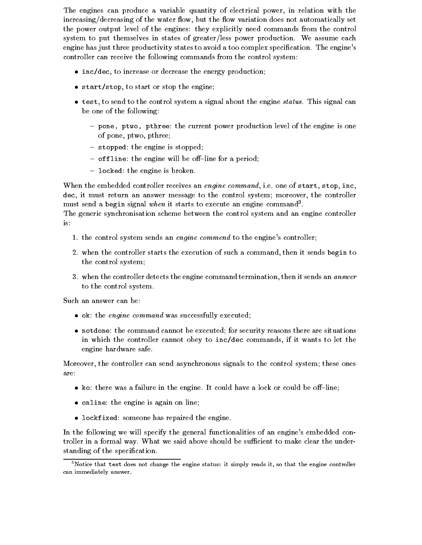The engines can produce a variable quantity of electrical power, in relation with the increasing/decreasing of the water flow, but the flow variation does not automatically set the power output level of the engines: they explicitly need commands from the control system to put themselves in states of greater/less power production. We assume each engine has just three productivity states to avoid a too complex speci-cation The engine"s controller can receive the following commands from the control system

- $\bullet$  inc/dec, to increase or decrease the energy production;
- $\bullet$  start/stop, to start or stop the engine;
- $\bullet$  test, to send to the control system a signal about the engine status. This signal can be one of the following
	- $-$  pone, ptwo, pthree: the current power production level of the engine is one of pone, ptwo, pthree;
	- $-$  stopped: the engine is stopped;
	- $-$  offline: the engine will be off-line for a period;
	- $-$  locked: the engine is broken.

When the embedded controller receives an engine command, i.e. one of start, stop, inc. dec, it must return an answer message to the control system; moreover, the controller  $m$ ust send a begin signal when it starts to execute an engine command .

The generic synchronisation scheme between the control system and an engine controller is

- 1. the control system sends an *engine commend* to the engine's controller;
- 2. when the controller starts the execution of such a command, then it sends begin to the control system
- 3. when the controller detects the engine command termination, then it sends an answer to the control system

Such an answer can be

- $\bullet$  ok: the *engine command* was successfully executed;
- $\bullet$  notdone: the command cannot be executed; for security reasons there are situations in which the controller cannot obey to inc/dec commands, if it wants to let the engine hardware safe

Moreover, the controller can send asynchronous signals to the control system; these ones are:

- ko: there was a failure in the engine. It could have a lock or could be off-line;
- $\bullet$  online: the engine is again on line;
- $\bullet$  lockfixed: someone has repaired the engine.

In the following we will specify the general functionalities of an engine's embedded controller in a formal way. What we said above should be sufficient to make clear the understanding of the speci-cation

<sup>.</sup> Notice that test does not change the engine status: it simply reads it, so that the engine controller can immediately answer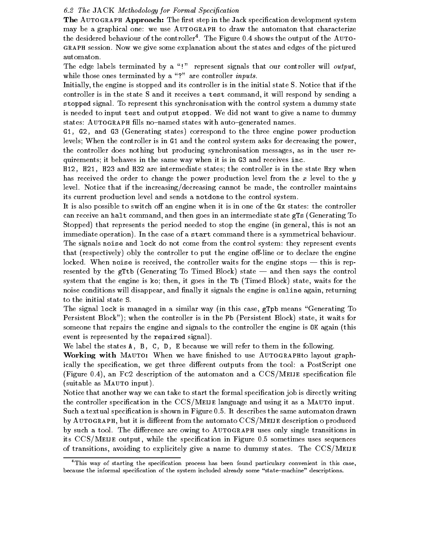## - The JACK Methodology for Formal Specication

the autograph approaches the step in the step in the Jack species system system systems. may be a graphical one: we use AUTOGRAPH to draw the automaton that characterize the desidered behaviour of the controller". The rigure 0.4 shows the output of the  $\mathtt{A}$ utograph session Now we give some explanation about the states and edges of the pictured automaton

The edge labels terminated by a "!" represent signals that our controller will *output*, while these ones the matrix  $\alpha$  , are controller inputs the state  $\alpha$ 

Initially, the engine is stopped and its controller is in the initial state S. Notice that if the controller is in the state S and it receives a test command it will respond by sending a stopped signal. To represent this synchronisation with the control system a dummy state is needed to input test and output stopped. We did not want to give a name to dummy states Autograph -lls nonamed states with autogenerated names

G1, G2, and G3 (Generating states) correspond to the three engine power production levels; When the controller is in G1 and the control system asks for decreasing the power, the controller does nothing but producing synchronisation messages, as in the user requirements; it behaves in the same way when it is in G3 and receives inc.

H12, H21, H23 and H32 are intermediate states; the controller is in the state Hxy when has received the order to change the power production level from the  $x$  level to the  $y$ level. Notice that if the increasing/decreasing cannot be made, the controller maintains its current production level and sends a notdone to the control system

It is also possible to switch off an engine when it is in one of the Gx states: the controller can receive an halt command, and then goes in an intermediate state gTs (Generating To Stopped) that represents the period needed to stop the engine (in general, this is not an immediate operation). In the case of a start command there is a symmetrical behaviour. The signals noise and lock do not come from the control system: they represent events that (respectively) obly the controller to put the engine off-line or to declare the engine locked. When noise is received, the controller waits for the engine stops  $-$  this is represented by the gTtb (Generating To Timed Block) state  $-$  and then says the control system that the engine is ko; then, it goes in the Tb (Timed Block) state, waits for the nois it signals it signals the engine is online is online is online and it signals the engine is online and it to the initial state S

The signal lock is managed in a similar way (in this case, gTpb means "Generating To Persistent Block"); when the controller is in the Pb (Persistent Block) state, it waits for someone that repairs the engine and signals to the controller the engine is 0K again (this event is represented by the repaired signal).

We label the states  $A$ ,  $B$ ,  $C$ ,  $D$ ,  $E$  because we will refer to them in the following.

with Mautographto Mautographto Mautographto Mautographto layout graphto layout graphto layout graphto layout g ically the speci-cation we get three dierent outputs from the tool a PostScript one le channel and for a cation of the automaton and a continued and a CCSM experience of the continued and a  $(suitable as MAUTO input).$ 

Notice that another way we can take to start the formal speci-cation job is directly writing the controller specification in the CCSM extra in the CCSMeije language and using it as a matter input to Such a textual speci-cation is shown in Figure It describes the same automaton drawn by  $\Delta$ utograph, but it is different from the automato CCS/MEIJE description o produced by such a tool. The difference are owing to AUTOGRAPH uses only single transitions in its CCSMeije output while the speci-cation in Figure sometimes uses sequences of transitions, avoiding to explicitely give a name to dummy states. The  $CCS/ME I J E$ 

<sup>&</sup>lt;sup>4</sup>This way of starting the specification process has been found particulary convenient in this case, because the informal specification of the system included already some "state-machine" descriptions.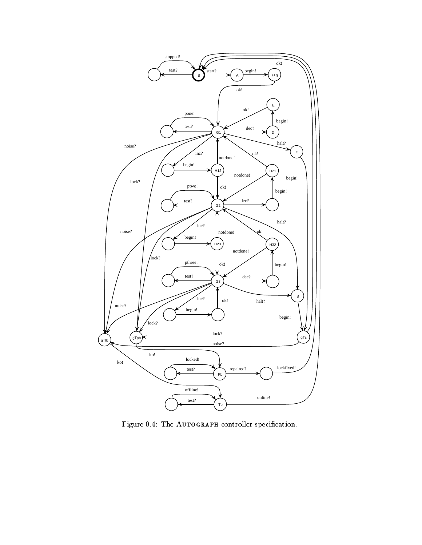

Figure The Autograph controller speci-cation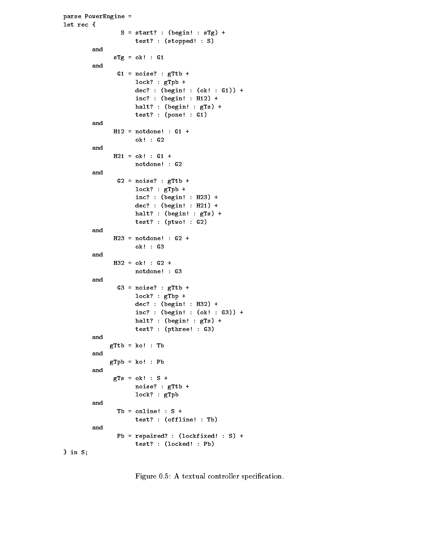```
parse PowerEngine let rec S  start  	begin
  sTg test: \stopped: 37
             andste uk: ut
             andG1 = noise? : gTtb +
                                 lock? : gTpb +dec Degin: WK. GIJJT
                                  inc: \bf \Omega \cdot \bf B \cdot \bf \Pi \cdot \bf \Pi \cdot \bf \Pi \cdot \bf \Pi \cdot \bf \Pi \cdot \bf \Pi \cdot \bf \Pi \cdot \bf \Pi \cdot \bf \Pi \cdot \bf \Pi \cdot \bf \Pi \cdot \bf \Pi \cdot \bf \Pi \cdot \bf \Pi \cdot \bf \Pi \cdot \bf \Pi \cdot \bf \Pi \cdot \bf \Pi \cdot \bf \Pi \cdot \bf \Pi \cdot \bf \Pi \cdot \bf \Pi \cdot \bf \Pi \cdot \bf \Pi \cdot \bf \Pi \cdot \bf \Pi \cdot \bf \Pi \cdot \bf \Pi \cdot \bf \Pi \cdot \bf \Pi \cdot \bf \Pi \cdot \bf \Pi \cdot \bf \Pi \cdot \bf \Pi \cdothalt: Weeth: PISTT
                                  test: Wulle: GIJ
             andniz - notuvne: . . ul I
                                  vn. vz
             andHZI - UNI UI I
                                  notdone
  GandG2 = noise? : gTtb +lock? : gTpb +incomponent \overline{h} . The \overline{h}dec ouerly have the start of the start of the start of the start of the start of the start of the start of the
                                  halt: Weeth: PISTT
                                  test where you
             andnzə = nutuune: . . .vz +
                                  vn. vv
             andH  ok
  G notdone
  GandG3 = noise? : gTtb +lock? : gTbp +dec Degin: Azi T
                                  incompleted the contract of \mathbf{u}halt: Weeth: PISTT
                                  test: \Utilitie: \O
             andeluu - nu: . .Lu
             andeinn - vo: 'in
             ande io - vr. J.J.
                                 noise? : gTtb +lock? : gTpb
             and\mathbf{v} = \mathbf{v} on \mathbf{v} = \mathbf{v}test: Willing: IDT
             andro repaired itolkiiked al t
                                  test: locked: FDJ
\} in S;
```
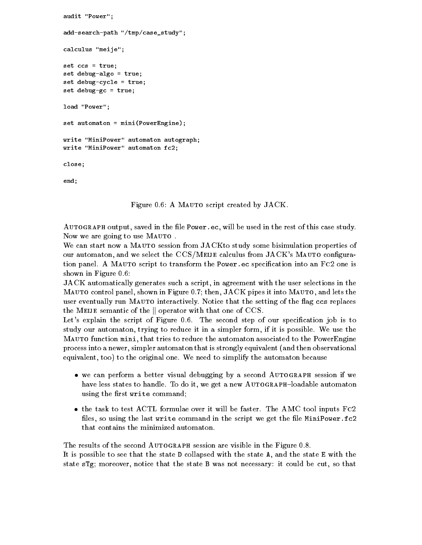```
audit "Power";
add-search-path "/tmp/case study";
calculus "meije";
set ccs = true;
set debug-algo = true;set debug-cycle = true;set debug-gc = true;load "Power";
set automaton = mini(PowerEngine);
write "MiniPower" automaton autograph;
write "MiniPower" automaton fc2;
closeend
```
Figure  $0.6$ : A MAUTO script created by  $JACK$ .

 $\mathbf{A}$ utograph output saved in the rest of this case study in the rest of this case study in the rest of this case study in the rest of this case study in the rest of this case study in the rest of this case study in th Now we are going to use MAUTO.

We can start now a MAUTO session from JACKto study some bisimulation properties of our automator and we select the CCSM entries from Mauto constants from JACK showing many tion panel A Mauto script to transform the Powerec speci-cation into an Fc one is shown in Figure 0.6:

JACK automatically generates such a script, in agreement with the user selections in the MAUTO control panel, shown in Figure 0.7; then,  $JACK$  pipes it into MAUTO, and lets the user eventually run MAUTO interactively. Notice that the setting of the flag ccs replaces the MEIJE semantic of the  $\parallel$  operator with that one of CCS.

Let"s explain the script of Figure The second step of our speci-cation job is to study our automaton, trying to reduce it in a simpler form, if it is possible. We use the MAUTO function mini, that tries to reduce the automaton associated to the PowerEngine process into a newer, simpler automaton that is strongly equivalent (and then observational equivalent, too) to the original one. We need to simplify the automaton because

- we can perform a better visual debugging by a second Autograph session if we have less states to handle. To do it, we get a new AUTOGRAPH-loadable automaton using the -rst write command
- $\bullet$  the task to test ACTL formulae over it will be faster. The AMC tool inputs Fc2 -les so using the last write command in the script we get the -le MiniPowerfc that contains the minimized automaton

The results of the second AUTOGRAPH session are visible in the Figure 0.8.

It is possible to see that the state D collapsed with the state A and the state E with the state  $sTg$ ; moreover, notice that the state B was not necessary: it could be cut, so that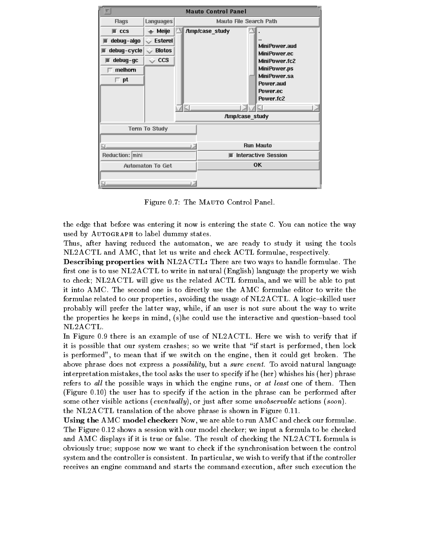

Figure 0.7: The MAUTO Control Panel.

the edge that before was entering it now is entering the state C You can notice the way used by AUTOGRAPH to label dummy states.

Thus, after having reduced the automaton, we are ready to study it using the tools  $NL2ACTL$  and  $AMC$ , that let us write and check  $ACTL$  formulae, respectively.

**Describing properties with**  $NL2ACTL$ **:** There are two ways to handle formulae. The -rst one is to use NLACTL to write in natural English language the property we wish to check; NL2ACTL will give us the related ACTL formula, and we will be able to put it into AMC The second one is to directly use the AMC formulae editor to write the formulae related to our properties, avoiding the usage of  $NL2ACTL$ . A logic-skilled user probably will prefer the latter way while if an user is not sure about the way to write the properties he keeps in mind,  $(s)$  he could use the interactive and question-based tool NL2ACTL.

In Figure there is an example of use of NLACTL Here we wish to verify that if it is possible that our system crashes; so we write that "if start is performed, then lock is performed", to mean that if we switch on the engine, then it could get broken. The above phrase does not express a *possibility*, but a *sure event*. To avoid natural language interpretation mistakes, the tool asks the user to specify if he (her) whishes his (her) phrase refers to all the possible ways in which the engine runs, or at least one of them. Then (Figure  $0.10$ ) the user has to specify if the action in the phrase can be performed after some other visible actions (eventually), or just after some unobservable actions (soon). the  $NL2ACTL$  translation of the above phrase is shown in Figure 0.11.

Using the AMC model checker: Now, we are able to run AMC and check our formulae. The Figure 0.12 shows a session with our model checker; we input a formula to be checked and AMC displays if it is true or false. The result of checking the  $NL2ACTL$  formula is obviously true; suppose now we want to check if the synchronisation between the control system and the controller is consistent. In particular, we wish to verify that if the controller receives an engine command and starts the command execution after such execution the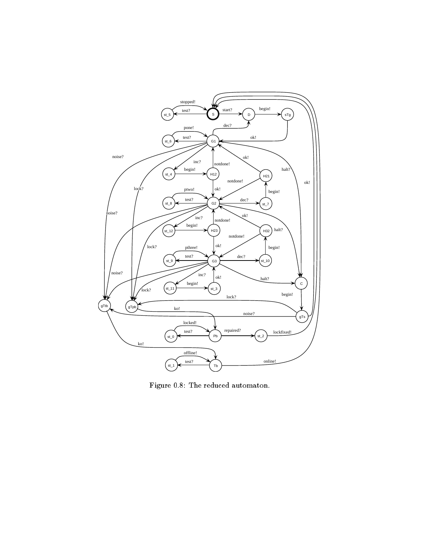

Figure 0.8: The reduced automaton.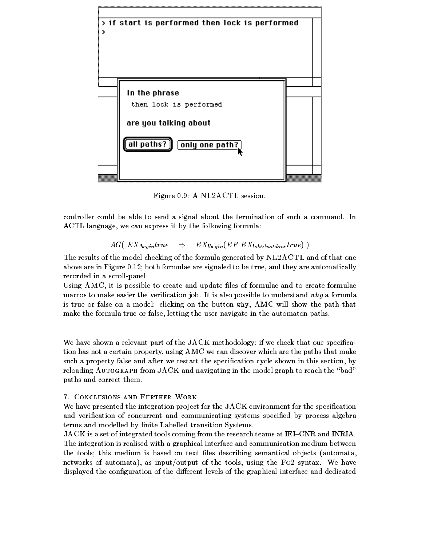

Figure A NLACTL session

controller could be able to send a signal about the termination of such a command. In ACTL language, we can express it by the following formula:

# $A\cup \left( L\Lambda \right)$ begintrue  $\rightarrow$   $L\Lambda$  begin $L\cup L$   $L\Lambda$  bek $\vee$  notdonetrue  $\cup$

The results of the model checking of the formula generated by NL2ACTL and of that one above are in Figure  $0.12$ ; both formulae are signaled to be true, and they are automatically recorded in a scroll-panel.

Using AMC it is possible to create and update -les of formulae and to create formulae macros to make easier the veri-cation job It is also possible to understand why a formula is true or false on a model: clicking on the button why, AMC will show the path that make the formula true or false, letting the user navigate in the automaton paths.

we have shown a relevant part of the JACK methodology if we check that our species that our species that our species that our species that our species that our species that our species that our species that our species tha tion has not a certain property, using AMC we can discover which are the paths that make such a property false and after we restart the speciment the species shown in this section by  $\mathcal{C}$ reloading AUTOGRAPH from JACK and navigating in the model graph to reach the "bad" paths and correct them

We have presented the integration pro ject for the JACK environment for the speci-cation and verification of concerned and communicating systems specification algebra algebra terms and modelled by -nite Labelled transition Systems

 $JACK$  is a set of integrated tools coming from the research teams at IEI–CNR and INRIA. The integration is realised with a graphical interface and communication medium between the tools this medium is based on text -les describing semantical ob jects automata networks of automata), as input/output of the tools, using the  $Fc2$  syntax. We have displayed the con-displayed the control interface and displayed interface and dedicated and dedicated and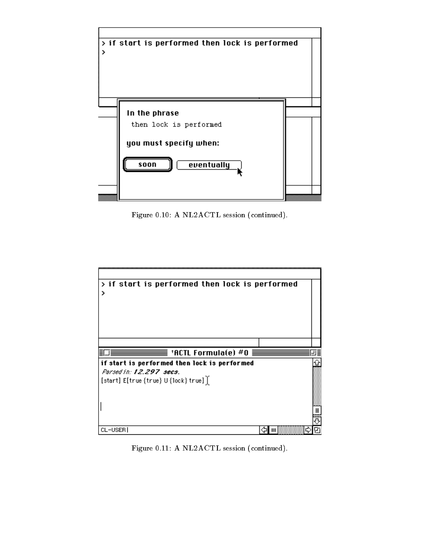

Figure 0.10: A NL2ACTL session (continued).

| > if start is performed then lock is performed |  |
|------------------------------------------------|--|
|                                                |  |
|                                                |  |
|                                                |  |
|                                                |  |
|                                                |  |
|                                                |  |
|                                                |  |
| *ACTL Formula(e) #0 $\equiv$<br>≡              |  |
|                                                |  |
| if start is performed then lock is performed   |  |
| Parsed in: 12.297 secs.                        |  |
| $[start]$ E[true {true} U {lock} true] $[$     |  |
|                                                |  |
|                                                |  |
|                                                |  |
|                                                |  |
| CL-USER                                        |  |

Figure 0.11: A NL2ACTL session (continued).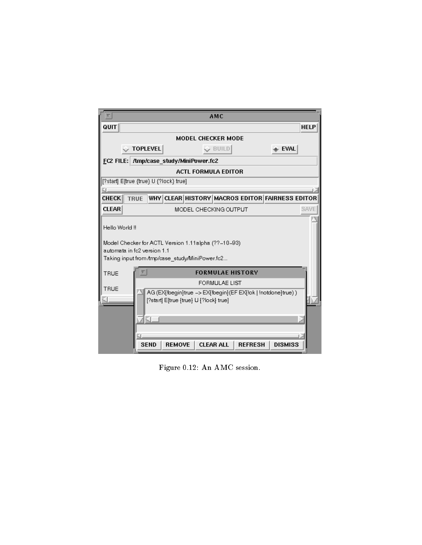|                                                                                                                                                        | AMC                                                                                                     |  |  |  |
|--------------------------------------------------------------------------------------------------------------------------------------------------------|---------------------------------------------------------------------------------------------------------|--|--|--|
| QUIT                                                                                                                                                   | <b>HELP</b>                                                                                             |  |  |  |
| <b>MODEL CHECKER MODE</b>                                                                                                                              |                                                                                                         |  |  |  |
|                                                                                                                                                        | <b>TOPLEVEL</b><br><b>EVAL</b><br>$>$ Build                                                             |  |  |  |
|                                                                                                                                                        | EC2 FILE: /tmp/case_study/MiniPower.fc2                                                                 |  |  |  |
| <b>ACTL FORMULA EDITOR</b>                                                                                                                             |                                                                                                         |  |  |  |
|                                                                                                                                                        | [?start] E[true {true} U {?lock} true]                                                                  |  |  |  |
| <b>CHECK</b>                                                                                                                                           | WHY CLEAR HISTORY MACROS EDITOR FAIRNESS EDITOR<br><b>TRUE</b>                                          |  |  |  |
| <b>CLEAR</b>                                                                                                                                           | SAVE<br>MODEL CHECKING OUTPUT                                                                           |  |  |  |
| Hello World !!<br>Model Checker for ACTL Version 1.11alpha (??–10–93)<br>automata in fc2 version 1.1<br>Taking input from Amp/case_study/MiniPower.fc2 |                                                                                                         |  |  |  |
| <b>TRUE</b>                                                                                                                                            | <b>FORMULAE HISTORY</b>                                                                                 |  |  |  |
| <b>TRUE</b>                                                                                                                                            | <b>FORMULAE LIST</b>                                                                                    |  |  |  |
|                                                                                                                                                        | AG (EX[!begin]true -> EX[!begin](EF EX[!ok   !notdone]true) )<br>[?start] E[true {true} U {?lock} true] |  |  |  |
|                                                                                                                                                        | <b>CLEAR ALL</b><br><b>SEND</b><br><b>REMOVE</b><br><b>DISMISS</b><br><b>REFRESH</b>                    |  |  |  |

Figure 0.12: An AMC session.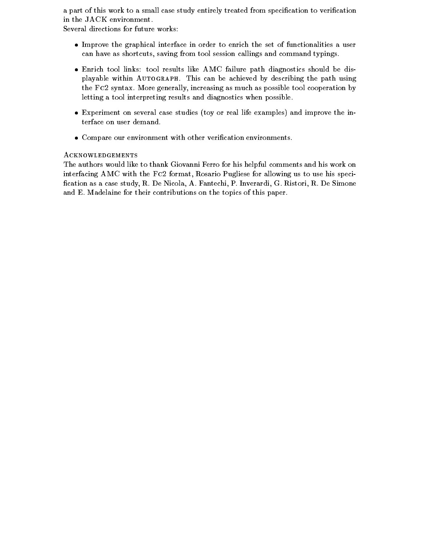a part of this work to a small case study entirely treated from speci-treated from speci-treated from speci-treated from speciin the JACK environment

Several directions for future works

- Improve the graphical interface in order to enrich the set of functionalities a user can have as shortcuts, saving from tool session callings and command typings.
- Enrich tool links: tool results like AMC failure path diagnostics should be displayable within AUTOGRAPH. This can be achieved by describing the path using the FC2 syntax. More generally, increasing as much as possible tool cooperation by letting a tool interpreting results and diagnostics when possible
- Experiment on several case studies (toy or real life examples) and improve the interface on user demand
- Compare our environment with other veri-cation environments

# **ACKNOWLEDGEMENTS**

The authors would like to thank Giovanni Ferro for his helpful comments and his work on interfacing  $AMC$  with the  $Fc2$  format, Rosario Pugliese for allowing us to use his speci--cation as a case study R De Nicola A Fantechi P Inverardi G Ristori R De Simone and E. Madelaine for their contributions on the topics of this paper.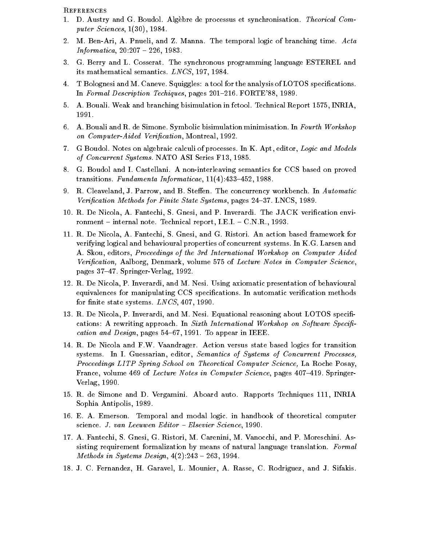**REFERENCES** 

- 1. D. Austry and G. Boudol. Algèbre de processus et synchronisation. Theorical Computer Sciences
- 2. M. Ben-Ari, A. Pnueli, and Z. Manna. The temporal logic of branching time.  $Acta$ Informatica
- 3. G. Berry and L. Cosserat. The synchronous programming language ESTEREL and its mathematical semantics  $\mathbf{N}$  is mathematical semantics LNCSS and  $\mathbf{N}$
- to bolognesi and m Caneve Studies and M Caneve Studies specific of LOTOS specifications of LOTOS specification In Formal Description Techiques pages FORTE"
- 5. A. Bouali. Weak and branching bisimulation in fctool. Technical Report 1575, INRIA,
- 6. A. Bouali and R. de Simone. Symbolic bisimulation minimisation. In Fourth Workshop on ComputerAided Verication Montreal Aided Verication Montreal Aided Verication Montreal Aided Verication Mont
- 7. G Boudol. Notes on algebraic calculi of processes. In K. Apt, editor, Logic and Models of Concurrent Systems NATO ASI Series Field Asia Systems NATO ASI Series Field Asia Systems NATO ASI Series Fie
- 8. G. Boudol and I. Castellani. A non-interleaving semantics for CCS based on proved transitions fundamental informations fundamental informations in the second
- R Cleaveland J Parrow and B Steen The concurrency workbench In Automatic Verigen and Methods for Finite State Systems pages For Finite State State
- R De Nicola A Fantechi S Gnesi and P Inverardi The JACK veri-cation envi ronment internal note Technical report IEI CNR
- 11. R. De Nicola, A. Fantechi, S. Gnesi, and G. Ristori. An action based framework for verifying logical and behavioural properties of concurrent systems In KG Larsen and A. Skou, editors, Proceedings of the 3rd International Workshop on Computer Aided Verification, Aalborg, Denmark, volume 575 of Lecture Notes in Computer Science, pages and the springer of the springers of the springers of the springers of the springers of the springers of
- 12. R. De Nicola, P. Inverardi, and M. Nesi. Using axiomatic presentation of behavioural equivalences for manipulating CCS speci-cations In automatic veri-cation methods for extension of the state system in the state system in the state system in the state system in the state system in
- R De Nicola P Inverardi and M Nesi Equational reasoning about LOTOS speci cations: A rewriting approach. In Sixth International Workshop on Software Specification and Design pages in IEEE experimental pages of the pages of the pages of the pages of the pages of the p
- 14. R. De Nicola and F.W. Vaandrager. Action versus state based logics for transition systems. In I. Guessarian, editor, Semantics of Systems of Concurrent Processes, Proceedings LITP Spring School on Theoretical Computer Science, La Roche Posay, France volume of Lecture Notes in Computer Science pages Springer Verlag
- 15. R. de Simone and D. Vergamini. Aboard auto. Rapports Techniques 111, INRIA sophia Antipolise in Antipolise
- 16. E. A. Emerson. Temporal and modal logic. in handbook of theoretical computer science J-J-Leeuwen Editor J-J-Leeuwen Editor Science J-J-Leeuwen Editor Science Science Science Science Science
- 17. A. Fantechi, S. Gnesi, G. Ristori, M. Carenini, M. Vanocchi, and P. Moreschini. Assisting requirement formalization by means of natural language translation. Formal methods in Systems Design, Sydness Designers I
- 18. J. C. Fernandez, H. Garavel, L. Mounier, A. Rasse, C. Rodriguez, and J. Sifakis.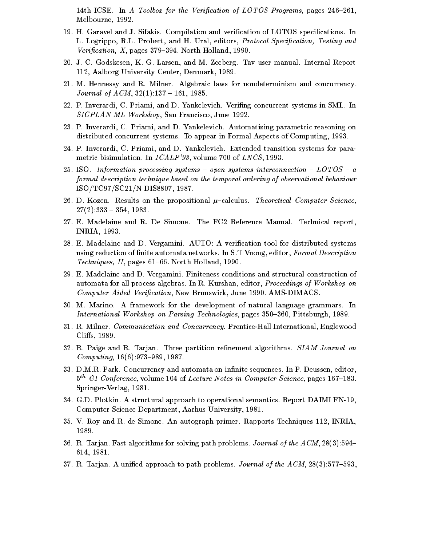14th ICSE. In A Toolbox for the Verification of LOTOS Programs, pages  $246-261$ , Melbourne and the contract of the contract of the contract of the contract of the contract of the contract of

- H Garavel and J Sifakis Compilation and veri-cation of LOTOS speci-cations In L. Logrippo, R.L. Probert, and H. Ural, editors, Protocol Specification, Testing and Verication X pages North Holland
- 20. J. C. Godskesen, K. G. Larsen, and M. Zeeberg. Tav user manual. Internal Report Aalborg University Center Denmark
- 21. M. Hennessy and R. Milner. Algebraic laws for nondeterminism and concurrency. Journal of Journal of Action and Action and Contract of Action and Action and Action and Action and Action and
- P Inverardi C Priami and D Yankelevich Veri-ng concurrent systems in SML In SIGPLAN MUSIC SIGPLAN MUSIC COMPANY SAN FRANCISCO STATES
- 23. P. Inverardi, C. Priami, and D. Yankelevich. Automatizing parametric reasoning on distributed concurrent systems To appear in Formal Aspects of Computing
- 24. P. Inverardi, C. Priami, and D. Yankelevich. Extended transition systems for parametric bisi $\mathbf{I}$
- 25. ISO. Information processing systems  $\sim$  open systems interconnection  $\sim$  LOTOS  $\sim$  a formal description technique based on the temporal ordering of observational behaviour ISOTTI DISPONDENTI DISPONDENTI DI SOCIOLE DI SOCIOLE DI SOCIOLE DI SOCIOLE DI SOCIOLE DI SOCIOLE DI SOCIOLE DI
- 26. D. Kozen. Results on the propositional  $\mu$ -calculus. Theoretical Computer Science,
- 27. E. Madelaine and R. De Simone. The FC2 Reference Manual. Technical report, INRIA
- E Madelaine and D Vergamini AUTO A veri-cation tool for distributed systems nite automation of - nite automation in St Vuonna 2002 - Automation Formal Description Formal Description Form Techniques II pages North Holland
- E Madelaine and D Vergamini Finiteness conditions and structural construction of automata for all process algebras. In R. Kurshan, editor, Proceedings of Workshop on Computer Aided Verication New Brunswick June AMSDIMACS
- 30. M. Marino. A framework for the development of natural language grammars. In International Workshop on Parsing Technologies pages 

 Pittsburgh
- 31. R. Milner. Communication and Concurrency. Prentice-Hall International, Englewood contract the contract of the contract of the contract of the contract of the contract of the contract of the contract of the contract of the contract of the contract of the contract of the contract of the contract of the c
- r Paige and R Tarjan Three parties re- algorithms SIAM Journal on the SIAM Journal on the SIAM Journal on the S  $\sim$  computing the computation of the computation of the computation of the computation of the computation of the computation of the computation of the computation of the computation of the computation of the computation
- nite sequences in a concept and and automated on indicated on in-dependent on in- $5<sup>th</sup>$  GI Conference, volume 104 of Lecture Notes in Computer Science, pages 167–183. SpringerVerlager verlager verlager verlager verlager verlager verlager verlager verlager verlager verlager verl
- GD Plot a structure and the structure approach to operational semantics Report Data and AIMI  $\sim$ Computer Science Department Aarhus University
- 35. V. Roy and R. de Simone. An autograph primer. Rapports Techniques 112, INRIA,
- R Tarjan Fast algorithms for solving path problems Journal of the ACM
- ed approach to path a upper the ACM of the ACM and the ACM and the ACM and the ACM and the ACM and the ACM and